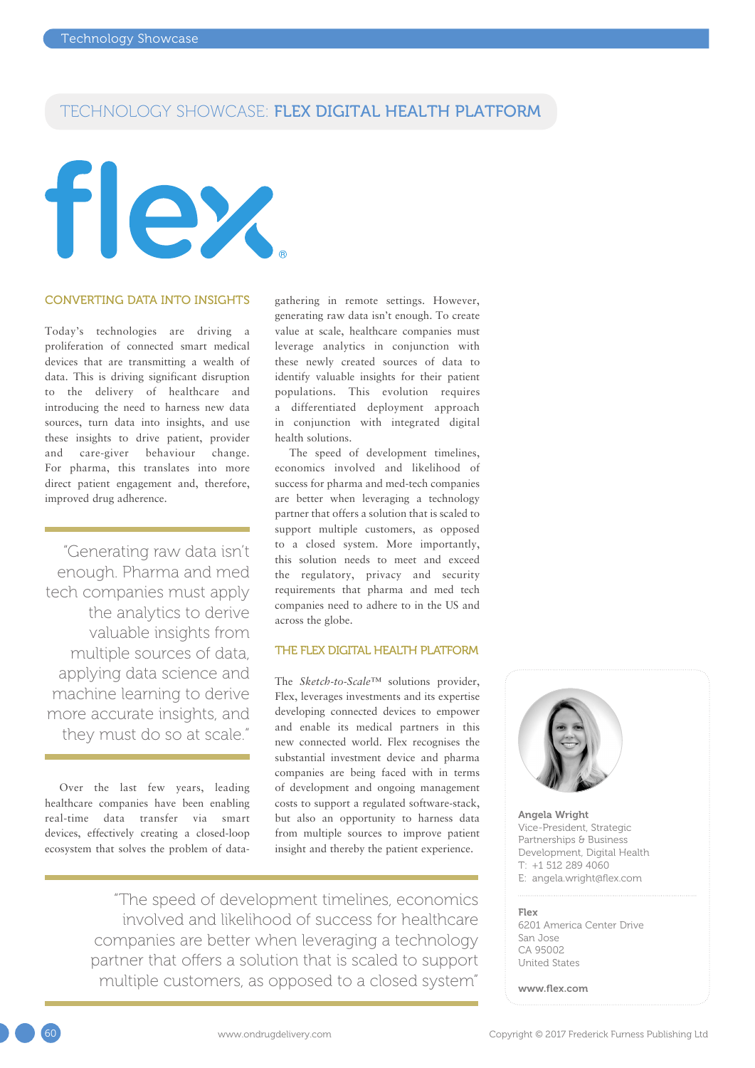# TECHNOLOGY SHOWCASE: FLEX DIGITAL HEALTH PLATFORM

# flex

### CONVERTING DATA INTO INSIGHTS

Today's technologies are driving a proliferation of connected smart medical devices that are transmitting a wealth of data. This is driving significant disruption to the delivery of healthcare and introducing the need to harness new data sources, turn data into insights, and use these insights to drive patient, provider and care-giver behaviour change. For pharma, this translates into more direct patient engagement and, therefore, improved drug adherence.

"Generating raw data isn't enough. Pharma and med tech companies must apply the analytics to derive valuable insights from multiple sources of data, applying data science and machine learning to derive more accurate insights, and they must do so at scale."

Over the last few years, leading healthcare companies have been enabling real-time data transfer via smart devices, effectively creating a closed-loop ecosystem that solves the problem of datagathering in remote settings. However, generating raw data isn't enough. To create value at scale, healthcare companies must leverage analytics in conjunction with these newly created sources of data to identify valuable insights for their patient populations. This evolution requires a differentiated deployment approach in conjunction with integrated digital health solutions.

The speed of development timelines, economics involved and likelihood of success for pharma and med-tech companies are better when leveraging a technology partner that offers a solution that is scaled to support multiple customers, as opposed to a closed system. More importantly, this solution needs to meet and exceed the regulatory, privacy and security requirements that pharma and med tech companies need to adhere to in the US and across the globe.

### THE FLEX DIGITAL HEALTH PLATFORM

The *Sketch-to-Scale™* solutions provider, Flex, leverages investments and its expertise developing connected devices to empower and enable its medical partners in this new connected world. Flex recognises the substantial investment device and pharma companies are being faced with in terms of development and ongoing management costs to support a regulated software-stack, but also an opportunity to harness data from multiple sources to improve patient insight and thereby the patient experience.

"The speed of development timelines, economics involved and likelihood of success for healthcare companies are better when leveraging a technology partner that offers a solution that is scaled to support multiple customers, as opposed to a closed system"



Angela Wright Vice-President, Strategic Partnerships & Business Development, Digital Health T: +1 512 289 4060 E: [angela.wright@flex.com](mailto:angela.wright@flex.com)

### Flex

6201 America Center Drive San Jose CA 95002 United States

[www.flex.com](http://www.flex.com)